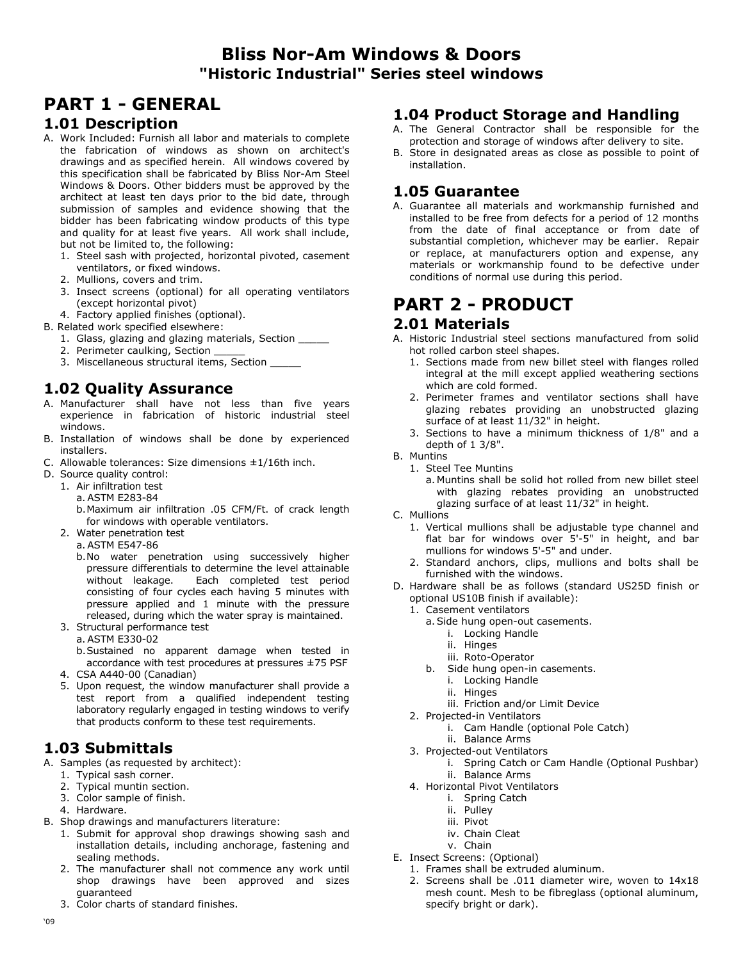## **Bliss Nor-Am Windows & Doors "Historic Industrial" Series steel windows**

# **PART 1 - GENERAL**

#### **1.01 Description**

- A. Work Included: Furnish all labor and materials to complete the fabrication of windows as shown on architect's drawings and as specified herein. All windows covered by this specification shall be fabricated by Bliss Nor-Am Steel Windows & Doors. Other bidders must be approved by the architect at least ten days prior to the bid date, through submission of samples and evidence showing that the bidder has been fabricating window products of this type and quality for at least five years. All work shall include, but not be limited to, the following:
	- 1. Steel sash with projected, horizontal pivoted, casement ventilators, or fixed windows.
	- 2. Mullions, covers and trim.
	- 3. Insect screens (optional) for all operating ventilators (except horizontal pivot)
	- 4. Factory applied finishes (optional).
- B. Related work specified elsewhere:
	- 1. Glass, glazing and glazing materials, Section \_\_\_\_\_
	- 2. Perimeter caulking, Section
	- 3. Miscellaneous structural items, Section

## **1.02 Quality Assurance**

- A. Manufacturer shall have not less than five years experience in fabrication of historic industrial steel windows.
- B. Installation of windows shall be done by experienced installers.
- C. Allowable tolerances: Size dimensions ±1/16th inch.
- D. Source quality control:
	- 1. Air infiltration test
		- a. ASTM E283-84
		- b. Maximum air infiltration .05 CFM/Ft. of crack length for windows with operable ventilators.
	- 2. Water penetration test
		- a. ASTM E547-86
		- b. No water penetration using successively higher pressure differentials to determine the level attainable<br>without leakage. Each completed test period Each completed test period consisting of four cycles each having 5 minutes with pressure applied and 1 minute with the pressure released, during which the water spray is maintained.
	- 3. Structural performance test
		- a. ASTM E330-02
		- b. Sustained no apparent damage when tested in accordance with test procedures at pressures ±75 PSF
	- 4. CSA A440-00 (Canadian)
	- 5. Upon request, the window manufacturer shall provide a test report from a qualified independent testing laboratory regularly engaged in testing windows to verify that products conform to these test requirements.

### **1.03 Submittals**

- A. Samples (as requested by architect):
	- 1. Typical sash corner.
	- 2. Typical muntin section.
	- 3. Color sample of finish.
	- 4. Hardware.
- B. Shop drawings and manufacturers literature:
	- 1. Submit for approval shop drawings showing sash and installation details, including anchorage, fastening and sealing methods.
	- 2. The manufacturer shall not commence any work until shop drawings have been approved and sizes guaranteed
	- 3. Color charts of standard finishes.

#### **1.04 Product Storage and Handling**

- A. The General Contractor shall be responsible for the protection and storage of windows after delivery to site.
- B. Store in designated areas as close as possible to point of installation.

#### **1.05 Guarantee**

A. Guarantee all materials and workmanship furnished and installed to be free from defects for a period of 12 months from the date of final acceptance or from date of substantial completion, whichever may be earlier. Repair or replace, at manufacturers option and expense, any materials or workmanship found to be defective under conditions of normal use during this period.

# **PART 2 - PRODUCT**

#### **2.01 Materials**

- A. Historic Industrial steel sections manufactured from solid hot rolled carbon steel shapes.
	- 1. Sections made from new billet steel with flanges rolled integral at the mill except applied weathering sections which are cold formed.
	- 2. Perimeter frames and ventilator sections shall have glazing rebates providing an unobstructed glazing surface of at least 11/32" in height.
	- 3. Sections to have a minimum thickness of 1/8" and a depth of 1 3/8".
- B. Muntins
	- 1. Steel Tee Muntins
		- a. Muntins shall be solid hot rolled from new billet steel with glazing rebates providing an unobstructed glazing surface of at least 11/32" in height.
- C. Mullions
	- 1. Vertical mullions shall be adjustable type channel and flat bar for windows over 5'-5" in height, and bar mullions for windows 5'-5" and under.
	- 2. Standard anchors, clips, mullions and bolts shall be furnished with the windows.
- D. Hardware shall be as follows (standard US25D finish or optional US10B finish if available):
	- 1. Casement ventilators
		- a. Side hung open-out casements.
			- i. Locking Handle
			- ii. Hinges
			- iii. Roto-Operator
		- b. Side hung open-in casements.
			- i. Locking Handle
			- ii. Hinges
			- iii. Friction and/or Limit Device
	- 2. Projected-in Ventilators
		- i. Cam Handle (optional Pole Catch)
		- ii. Balance Arms
	- 3. Projected-out Ventilators
		- i. Spring Catch or Cam Handle (Optional Pushbar)
		- ii. Balance Arms
	- 4. Horizontal Pivot Ventilators
		- i. Spring Catch
		- ii. Pulley
		- iii. Pivot
		- iv. Chain Cleat
		- v. Chain
- E. Insect Screens: (Optional) 1. Frames shall be extruded aluminum.
	- 2. Screens shall be .011 diameter wire, woven to 14x18 mesh count. Mesh to be fibreglass (optional aluminum, specify bright or dark).